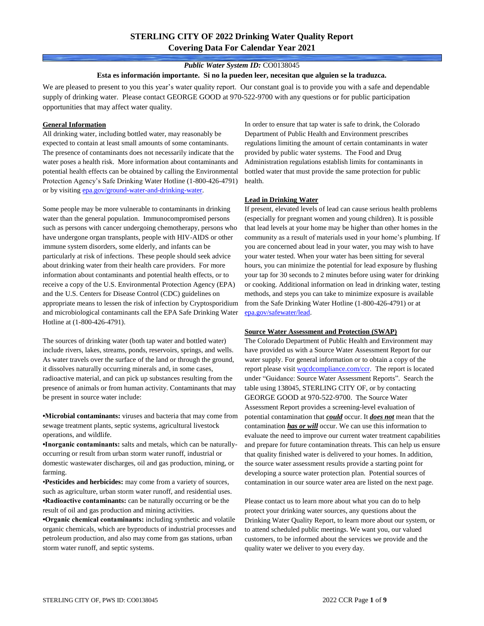# **STERLING CITY OF 2022 Drinking Water Quality Report Covering Data For Calendar Year 2021**

## *Public Water System ID:* CO0138045

#### **Esta es información importante. Si no la pueden leer, necesitan que alguien se la traduzca.**

We are pleased to present to you this year's water quality report. Our constant goal is to provide you with a safe and dependable supply of drinking water. Please contact GEORGE GOOD at 970-522-9700 with any questions or for public participation opportunities that may affect water quality.

#### **General Information**

All drinking water, including bottled water, may reasonably be expected to contain at least small amounts of some contaminants. The presence of contaminants does not necessarily indicate that the water poses a health risk. More information about contaminants and potential health effects can be obtained by calling the Environmental Protection Agency's Safe Drinking Water Hotline (1-800-426-4791) or by visiting [epa.gov/ground-water-and-drinking-water.](https://www.epa.gov/ground-water-and-drinking-water)

Some people may be more vulnerable to contaminants in drinking water than the general population. Immunocompromised persons such as persons with cancer undergoing chemotherapy, persons who have undergone organ transplants, people with HIV-AIDS or other immune system disorders, some elderly, and infants can be particularly at risk of infections. These people should seek advice about drinking water from their health care providers. For more information about contaminants and potential health effects, or to receive a copy of the U.S. Environmental Protection Agency (EPA) and the U.S. Centers for Disease Control (CDC) guidelines on appropriate means to lessen the risk of infection by Cryptosporidium and microbiological contaminants call the EPA Safe Drinking Water Hotline at (1-800-426-4791).

The sources of drinking water (both tap water and bottled water) include rivers, lakes, streams, ponds, reservoirs, springs, and wells. As water travels over the surface of the land or through the ground, it dissolves naturally occurring minerals and, in some cases, radioactive material, and can pick up substances resulting from the presence of animals or from human activity. Contaminants that may be present in source water include:

**•Microbial contaminants:** viruses and bacteria that may come from sewage treatment plants, septic systems, agricultural livestock operations, and wildlife.

**•Inorganic contaminants:** salts and metals, which can be naturallyoccurring or result from urban storm water runoff, industrial or domestic wastewater discharges, oil and gas production, mining, or farming.

•**Pesticides and herbicides:** may come from a variety of sources, such as agriculture, urban storm water runoff, and residential uses. **•Radioactive contaminants:** can be naturally occurring or be the result of oil and gas production and mining activities.

**•Organic chemical contaminants:** including synthetic and volatile organic chemicals, which are byproducts of industrial processes and petroleum production, and also may come from gas stations, urban storm water runoff, and septic systems.

In order to ensure that tap water is safe to drink, the Colorado Department of Public Health and Environment prescribes regulations limiting the amount of certain contaminants in water provided by public water systems. The Food and Drug Administration regulations establish limits for contaminants in bottled water that must provide the same protection for public health.

### **Lead in Drinking Water**

If present, elevated levels of lead can cause serious health problems (especially for pregnant women and young children). It is possible that lead levels at your home may be higher than other homes in the community as a result of materials used in your home's plumbing. If you are concerned about lead in your water, you may wish to have your water tested. When your water has been sitting for several hours, you can minimize the potential for lead exposure by flushing your tap for 30 seconds to 2 minutes before using water for drinking or cooking. Additional information on lead in drinking water, testing methods, and steps you can take to minimize exposure is available from the Safe Drinking Water Hotline (1-800-426-4791) or at [epa.gov/safewater/lead.](http://www.epa.gov/safewater/lead) 

### **Source Water Assessment and Protection (SWAP)**

The Colorado Department of Public Health and Environment may have provided us with a Source Water Assessment Report for our water supply. For general information or to obtain a copy of the report please visit [wqcdcompliance.com/ccr.](https://wqcdcompliance.com/ccr) The report is located under "Guidance: Source Water Assessment Reports". Search the table using 138045, STERLING CITY OF, or by contacting GEORGE GOOD at 970-522-9700. The Source Water Assessment Report provides a screening-level evaluation of potential contamination that *could* occur. It *does not* mean that the contamination *has or will* occur. We can use this information to evaluate the need to improve our current water treatment capabilities and prepare for future contamination threats. This can help us ensure that quality finished water is delivered to your homes. In addition, the source water assessment results provide a starting point for developing a source water protection plan. Potential sources of contamination in our source water area are listed on the next page.

Please contact us to learn more about what you can do to help protect your drinking water sources, any questions about the Drinking Water Quality Report, to learn more about our system, or to attend scheduled public meetings. We want you, our valued customers, to be informed about the services we provide and the quality water we deliver to you every day.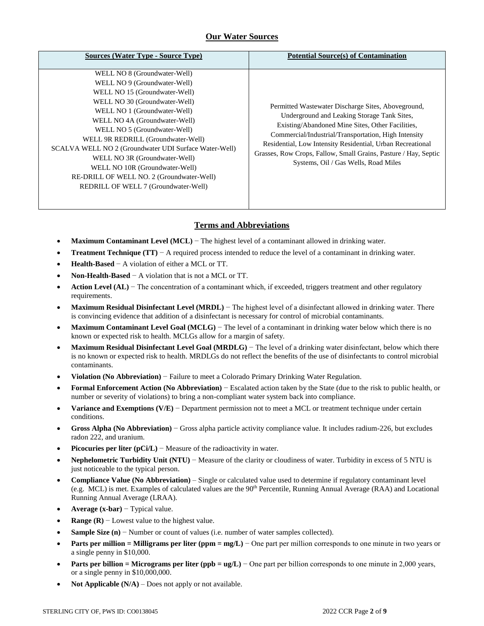# **Our Water Sources**

| <b>Sources (Water Type - Source Type)</b>                                                                                                                                                                                                                                                                                                                                                                                                                                              | <b>Potential Source(s) of Contamination</b>                                                                                                                                                                                                                                                                                                                                            |
|----------------------------------------------------------------------------------------------------------------------------------------------------------------------------------------------------------------------------------------------------------------------------------------------------------------------------------------------------------------------------------------------------------------------------------------------------------------------------------------|----------------------------------------------------------------------------------------------------------------------------------------------------------------------------------------------------------------------------------------------------------------------------------------------------------------------------------------------------------------------------------------|
| WELL NO 8 (Groundwater-Well)<br>WELL NO 9 (Groundwater-Well)<br>WELL NO 15 (Groundwater-Well)<br>WELL NO 30 (Groundwater-Well)<br>WELL NO 1 (Groundwater-Well)<br>WELL NO 4A (Groundwater-Well)<br>WELL NO 5 (Groundwater-Well)<br>WELL 9R REDRILL (Groundwater-Well)<br>SCALVA WELL NO 2 (Groundwater UDI Surface Water-Well)<br>WELL NO 3R (Groundwater-Well)<br>WELL NO 10R (Groundwater-Well)<br>RE-DRILL OF WELL NO. 2 (Groundwater-Well)<br>REDRILL OF WELL 7 (Groundwater-Well) | Permitted Wastewater Discharge Sites, Aboveground,<br>Underground and Leaking Storage Tank Sites.<br>Existing/Abandoned Mine Sites, Other Facilities,<br>Commercial/Industrial/Transportation, High Intensity<br>Residential, Low Intensity Residential, Urban Recreational<br>Grasses, Row Crops, Fallow, Small Grains, Pasture / Hay, Septic<br>Systems, Oil / Gas Wells, Road Miles |

# **Terms and Abbreviations**

- **Maximum Contaminant Level (MCL)** − The highest level of a contaminant allowed in drinking water.
- **Treatment Technique (TT)** − A required process intended to reduce the level of a contaminant in drinking water.
- **Health-Based** − A violation of either a MCL or TT.
- **Non-Health-Based** − A violation that is not a MCL or TT.
- **Action Level (AL)** − The concentration of a contaminant which, if exceeded, triggers treatment and other regulatory requirements.
- **Maximum Residual Disinfectant Level (MRDL)** − The highest level of a disinfectant allowed in drinking water. There is convincing evidence that addition of a disinfectant is necessary for control of microbial contaminants.
- **Maximum Contaminant Level Goal (MCLG)** − The level of a contaminant in drinking water below which there is no known or expected risk to health. MCLGs allow for a margin of safety.
- **Maximum Residual Disinfectant Level Goal (MRDLG)** − The level of a drinking water disinfectant, below which there is no known or expected risk to health. MRDLGs do not reflect the benefits of the use of disinfectants to control microbial contaminants.
- **Violation (No Abbreviation)** − Failure to meet a Colorado Primary Drinking Water Regulation.
- **Formal Enforcement Action (No Abbreviation)** − Escalated action taken by the State (due to the risk to public health, or number or severity of violations) to bring a non-compliant water system back into compliance.
- **Variance and Exemptions (V/E)** − Department permission not to meet a MCL or treatment technique under certain conditions.
- **Gross Alpha (No Abbreviation)** − Gross alpha particle activity compliance value. It includes radium-226, but excludes radon 222, and uranium.
- **Picocuries per liter (pCi/L)** − Measure of the radioactivity in water.
- **Nephelometric Turbidity Unit (NTU)** − Measure of the clarity or cloudiness of water. Turbidity in excess of 5 NTU is just noticeable to the typical person.
- **Compliance Value (No Abbreviation)** Single or calculated value used to determine if regulatory contaminant level (e.g. MCL) is met. Examples of calculated values are the 90<sup>th</sup> Percentile, Running Annual Average (RAA) and Locational Running Annual Average (LRAA).
- **Average (x-bar)** − Typical value.
- **Range (R)**  $-$  Lowest value to the highest value.
- **Sample Size (n)** − Number or count of values (i.e. number of water samples collected).
- **Parts per million = Milligrams per liter (ppm = mg/L)** − One part per million corresponds to one minute in two years or a single penny in \$10,000.
- **Parts per billion = Micrograms per liter (ppb = ug/L)** − One part per billion corresponds to one minute in 2,000 years, or a single penny in \$10,000,000.
- **Not Applicable (N/A)** Does not apply or not available.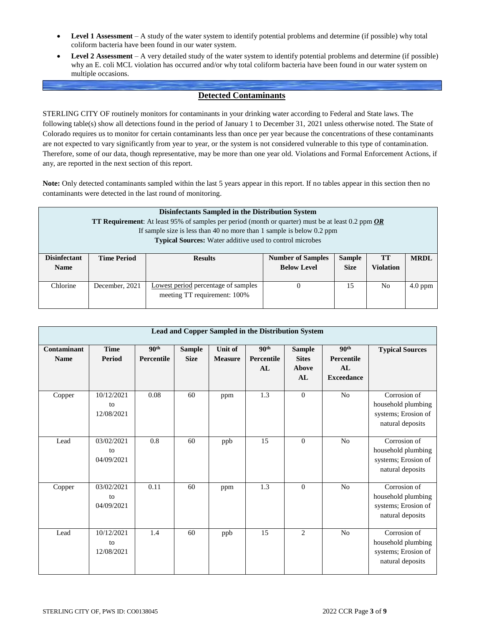- **Level 1 Assessment** A study of the water system to identify potential problems and determine (if possible) why total coliform bacteria have been found in our water system.
- **Level 2 Assessment** A very detailed study of the water system to identify potential problems and determine (if possible) why an E. coli MCL violation has occurred and/or why total coliform bacteria have been found in our water system on multiple occasions.

# **Detected Contaminants**

STERLING CITY OF routinely monitors for contaminants in your drinking water according to Federal and State laws. The following table(s) show all detections found in the period of January 1 to December 31, 2021 unless otherwise noted. The State of Colorado requires us to monitor for certain contaminants less than once per year because the concentrations of these contaminants are not expected to vary significantly from year to year, or the system is not considered vulnerable to this type of contamination. Therefore, some of our data, though representative, may be more than one year old. Violations and Formal Enforcement Actions, if any, are reported in the next section of this report.

**Note:** Only detected contaminants sampled within the last 5 years appear in this report. If no tables appear in this section then no contaminants were detected in the last round of monitoring.

| Disinfectants Sampled in the Distribution System<br><b>TT Requirement:</b> At least 95% of samples per period (month or quarter) must be at least 0.2 ppm $OR$<br>If sample size is less than 40 no more than 1 sample is below $0.2$ ppm<br><b>Typical Sources:</b> Water additive used to control microbes |                    |                                                                     |                                                |                              |                        |             |
|--------------------------------------------------------------------------------------------------------------------------------------------------------------------------------------------------------------------------------------------------------------------------------------------------------------|--------------------|---------------------------------------------------------------------|------------------------------------------------|------------------------------|------------------------|-------------|
| <b>Disinfectant</b><br><b>Name</b>                                                                                                                                                                                                                                                                           | <b>Time Period</b> | <b>Results</b>                                                      | <b>Number of Samples</b><br><b>Below Level</b> | <b>Sample</b><br><b>Size</b> | TT<br><b>Violation</b> | <b>MRDL</b> |
| Chlorine                                                                                                                                                                                                                                                                                                     | December, 2021     | Lowest period percentage of samples<br>meeting TT requirement: 100% |                                                | 15                           | N <sub>0</sub>         | $4.0$ ppm   |

|                            | Lead and Copper Sampled in the Distribution System |                                |                              |                                  |                                      |                                              |                                                            |                                                                               |  |  |  |
|----------------------------|----------------------------------------------------|--------------------------------|------------------------------|----------------------------------|--------------------------------------|----------------------------------------------|------------------------------------------------------------|-------------------------------------------------------------------------------|--|--|--|
| Contaminant<br><b>Name</b> | <b>Time</b><br>Period                              | 90 <sup>th</sup><br>Percentile | <b>Sample</b><br><b>Size</b> | <b>Unit of</b><br><b>Measure</b> | 90 <sup>th</sup><br>Percentile<br>AL | <b>Sample</b><br><b>Sites</b><br>Above<br>AL | 90 <sup>th</sup><br>Percentile<br>AI.<br><b>Exceedance</b> | <b>Typical Sources</b>                                                        |  |  |  |
| Copper                     | 10/12/2021<br>to<br>12/08/2021                     | 0.08                           | 60                           | ppm                              | $\overline{1.3}$                     | $\overline{0}$                               | N <sub>o</sub>                                             | Corrosion of<br>household plumbing<br>systems; Erosion of<br>natural deposits |  |  |  |
| Lead                       | 03/02/2021<br>to<br>04/09/2021                     | 0.8                            | 60                           | ppb                              | 15                                   | $\theta$                                     | N <sub>o</sub>                                             | Corrosion of<br>household plumbing<br>systems; Erosion of<br>natural deposits |  |  |  |
| Copper                     | 03/02/2021<br>to<br>04/09/2021                     | 0.11                           | 60                           | ppm                              | 1.3                                  | $\overline{0}$                               | N <sub>o</sub>                                             | Corrosion of<br>household plumbing<br>systems; Erosion of<br>natural deposits |  |  |  |
| Lead                       | 10/12/2021<br>to<br>12/08/2021                     | 1.4                            | 60                           | ppb                              | 15                                   | 2                                            | N <sub>o</sub>                                             | Corrosion of<br>household plumbing<br>systems; Erosion of<br>natural deposits |  |  |  |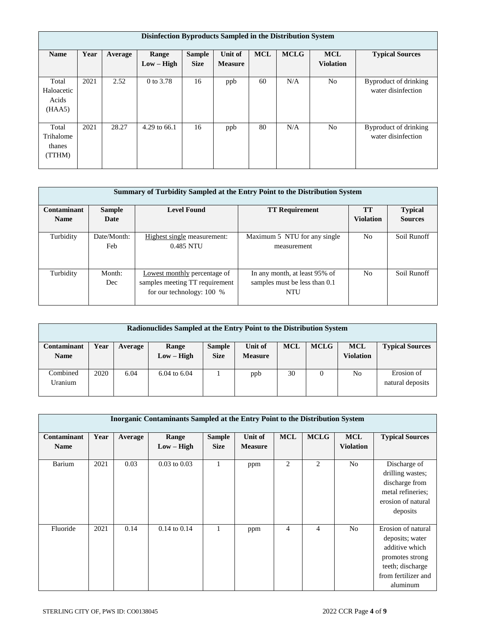|                                        | Disinfection Byproducts Sampled in the Distribution System |         |                       |                              |                           |            |             |                                |                                             |  |  |
|----------------------------------------|------------------------------------------------------------|---------|-----------------------|------------------------------|---------------------------|------------|-------------|--------------------------------|---------------------------------------------|--|--|
| <b>Name</b>                            | Year                                                       | Average | Range<br>$Low - High$ | <b>Sample</b><br><b>Size</b> | Unit of<br><b>Measure</b> | <b>MCL</b> | <b>MCLG</b> | <b>MCL</b><br><b>Violation</b> | <b>Typical Sources</b>                      |  |  |
| Total<br>Haloacetic<br>Acids<br>(HAA5) | 2021                                                       | 2.52    | 0 to 3.78             | 16                           | ppb                       | 60         | N/A         | N <sub>o</sub>                 | Byproduct of drinking<br>water disinfection |  |  |
| Total<br>Trihalome<br>thanes<br>(TTHM) | 2021                                                       | 28.27   | 4.29 to 66.1          | 16                           | ppb                       | 80         | N/A         | N <sub>o</sub>                 | Byproduct of drinking<br>water disinfection |  |  |

|             | Summary of Turbidity Sampled at the Entry Point to the Distribution System |                                                                                               |                                                                              |                  |                |  |  |  |  |  |
|-------------|----------------------------------------------------------------------------|-----------------------------------------------------------------------------------------------|------------------------------------------------------------------------------|------------------|----------------|--|--|--|--|--|
| Contaminant | <b>Sample</b>                                                              | <b>Level Found</b>                                                                            | <b>TT Requirement</b>                                                        | <b>TT</b>        | <b>Typical</b> |  |  |  |  |  |
| <b>Name</b> | Date                                                                       |                                                                                               |                                                                              | <b>Violation</b> | <b>Sources</b> |  |  |  |  |  |
| Turbidity   | Date/Month:<br><b>Feb</b>                                                  | Highest single measurement:<br>0.485 NTU                                                      | Maximum 5 NTU for any single<br>measurement                                  | N <sub>0</sub>   | Soil Runoff    |  |  |  |  |  |
| Turbidity   | Month:<br>Dec                                                              | Lowest monthly percentage of<br>samples meeting TT requirement<br>for our technology: $100\%$ | In any month, at least 95% of<br>samples must be less than 0.1<br><b>NTU</b> | N <sub>0</sub>   | Soil Runoff    |  |  |  |  |  |

| Radionuclides Sampled at the Entry Point to the Distribution System |      |         |                         |                              |                           |            |             |                                |                                |
|---------------------------------------------------------------------|------|---------|-------------------------|------------------------------|---------------------------|------------|-------------|--------------------------------|--------------------------------|
| Contaminant<br><b>Name</b>                                          | Year | Average | Range<br>$Low - High$   | <b>Sample</b><br><b>Size</b> | Unit of<br><b>Measure</b> | <b>MCL</b> | <b>MCLG</b> | <b>MCL</b><br><b>Violation</b> | <b>Typical Sources</b>         |
| Combined<br>Uranium                                                 | 2020 | 6.04    | $6.04 \text{ to } 6.04$ |                              | ppb                       | 30         | 0           | No                             | Erosion of<br>natural deposits |

|             | <b>Inorganic Contaminants Sampled at the Entry Point to the Distribution System</b> |         |                  |               |                |            |                |                  |                                                                                                                                   |  |
|-------------|-------------------------------------------------------------------------------------|---------|------------------|---------------|----------------|------------|----------------|------------------|-----------------------------------------------------------------------------------------------------------------------------------|--|
|             |                                                                                     |         |                  |               |                |            |                |                  |                                                                                                                                   |  |
| Contaminant | Year                                                                                | Average | Range            | <b>Sample</b> | Unit of        | <b>MCL</b> | <b>MCLG</b>    | <b>MCL</b>       | <b>Typical Sources</b>                                                                                                            |  |
| <b>Name</b> |                                                                                     |         | $Low - High$     | <b>Size</b>   | <b>Measure</b> |            |                | <b>Violation</b> |                                                                                                                                   |  |
| Barium      | 2021                                                                                | 0.03    | $0.03$ to $0.03$ |               | ppm            | 2          | 2              | N <sub>o</sub>   | Discharge of<br>drilling wastes;<br>discharge from<br>metal refineries;<br>erosion of natural<br>deposits                         |  |
| Fluoride    | 2021                                                                                | 0.14    | $0.14$ to $0.14$ |               | ppm            | 4          | $\overline{4}$ | N <sub>o</sub>   | Erosion of natural<br>deposits; water<br>additive which<br>promotes strong<br>teeth; discharge<br>from fertilizer and<br>aluminum |  |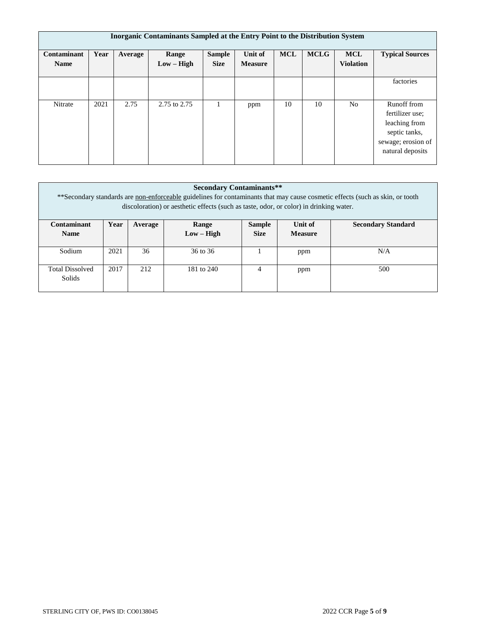| Inorganic Contaminants Sampled at the Entry Point to the Distribution System |      |         |                       |                              |                           |            |             |                                |                                                                                                            |  |
|------------------------------------------------------------------------------|------|---------|-----------------------|------------------------------|---------------------------|------------|-------------|--------------------------------|------------------------------------------------------------------------------------------------------------|--|
| Contaminant<br><b>Name</b>                                                   | Year | Average | Range<br>$Low - High$ | <b>Sample</b><br><b>Size</b> | Unit of<br><b>Measure</b> | <b>MCL</b> | <b>MCLG</b> | <b>MCL</b><br><b>Violation</b> | <b>Typical Sources</b>                                                                                     |  |
|                                                                              |      |         |                       |                              |                           |            |             |                                | factories                                                                                                  |  |
| Nitrate                                                                      | 2021 | 2.75    | 2.75 to 2.75          |                              | ppm                       | 10         | 10          | N <sub>o</sub>                 | Runoff from<br>fertilizer use:<br>leaching from<br>septic tanks,<br>sewage; erosion of<br>natural deposits |  |

| <b>Secondary Contaminants**</b><br>**Secondary standards are non-enforceable guidelines for contaminants that may cause cosmetic effects (such as skin, or tooth<br>discoloration) or aesthetic effects (such as taste, odor, or color) in drinking water. |      |         |              |               |                |                           |  |  |
|------------------------------------------------------------------------------------------------------------------------------------------------------------------------------------------------------------------------------------------------------------|------|---------|--------------|---------------|----------------|---------------------------|--|--|
| Contaminant                                                                                                                                                                                                                                                | Year | Average | Range        | <b>Sample</b> | Unit of        | <b>Secondary Standard</b> |  |  |
| <b>Name</b>                                                                                                                                                                                                                                                |      |         | $Low - High$ | <b>Size</b>   | <b>Measure</b> |                           |  |  |
| Sodium                                                                                                                                                                                                                                                     | 2021 | 36      | 36 to 36     |               | ppm            | N/A                       |  |  |
| <b>Total Dissolved</b><br>Solids                                                                                                                                                                                                                           | 2017 | 212     | 181 to 240   | 4             | ppm            | 500                       |  |  |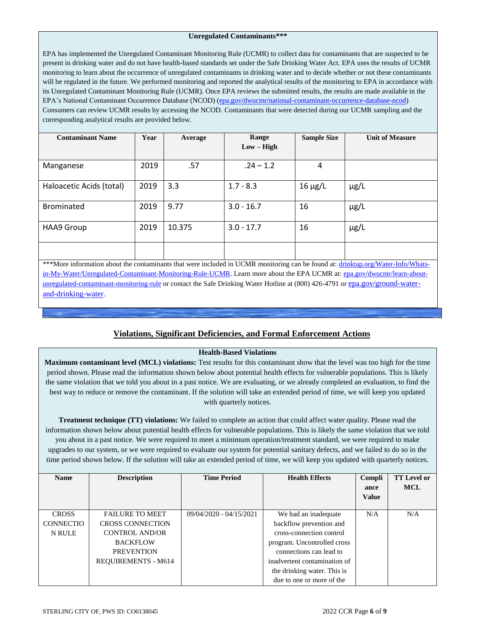#### **Unregulated Contaminants\*\*\***

EPA has implemented the Unregulated Contaminant Monitoring Rule (UCMR) to collect data for contaminants that are suspected to be present in drinking water and do not have health-based standards set under the Safe Drinking Water Act. EPA uses the results of UCMR monitoring to learn about the occurrence of unregulated contaminants in drinking water and to decide whether or not these contaminants will be regulated in the future. We performed monitoring and reported the analytical results of the monitoring to EPA in accordance with its Unregulated Contaminant Monitoring Rule (UCMR). Once EPA reviews the submitted results, the results are made available in the EPA's National Contaminant Occurrence Database (NCOD) [\(epa.gov/dwucmr/national-contaminant-occurrence-database-ncod\)](http://www.epa.gov/dwucmr/national-contaminant-occurrence-database-ncod) Consumers can review UCMR results by accessing the NCOD. Contaminants that were detected during our UCMR sampling and the corresponding analytical results are provided below.

| <b>Contaminant Name</b>  | Year | Average | Range<br>$Low - High$ | <b>Sample Size</b> | <b>Unit of Measure</b> |
|--------------------------|------|---------|-----------------------|--------------------|------------------------|
| Manganese                | 2019 | .57     | $.24 - 1.2$           | 4                  |                        |
| Haloacetic Acids (total) | 2019 | 3.3     | $1.7 - 8.3$           | $16 \mu g/L$       | $\mu$ g/L              |
| Brominated               | 2019 | 9.77    | $3.0 - 16.7$          | 16                 | $\mu$ g/L              |
| <b>HAA9 Group</b>        | 2019 | 10.375  | $3.0 - 17.7$          | 16                 | $\mu$ g/L              |
|                          |      |         |                       |                    |                        |

\*\*\*More information about the contaminants that were included in UCMR monitoring can be found at: [drinktap.org/Water-Info/Whats](https://drinktap.org/Water-Info/Whats-in-My-Water/Unregulated-Contaminant-Monitoring-Rule-UCMR)[in-My-Water/Unregulated-Contaminant-Monitoring-Rule-UCMR.](https://drinktap.org/Water-Info/Whats-in-My-Water/Unregulated-Contaminant-Monitoring-Rule-UCMR) Learn more about the EPA UCMR at: [epa.gov/dwucmr/learn-about](http://www.epa.gov/dwucmr/learn-about-unregulated-contaminant-monitoring-rule)[unregulated-contaminant-monitoring-rule](http://www.epa.gov/dwucmr/learn-about-unregulated-contaminant-monitoring-rule) or contact the Safe Drinking Water Hotline at (800) 426-4791 or [epa.gov/ground-water](https://www.epa.gov/ground-water-and-drinking-water)[and-drinking-water](https://www.epa.gov/ground-water-and-drinking-water).

# **Violations, Significant Deficiencies, and Formal Enforcement Actions**

## **Health-Based Violations**

**Maximum contaminant level (MCL) violations:** Test results for this contaminant show that the level was too high for the time period shown. Please read the information shown below about potential health effects for vulnerable populations. This is likely the same violation that we told you about in a past notice. We are evaluating, or we already completed an evaluation, to find the best way to reduce or remove the contaminant. If the solution will take an extended period of time, we will keep you updated with quarterly notices.

**Treatment technique (TT) violations:** We failed to complete an action that could affect water quality. Please read the information shown below about potential health effects for vulnerable populations. This is likely the same violation that we told you about in a past notice. We were required to meet a minimum operation/treatment standard, we were required to make upgrades to our system, or we were required to evaluate our system for potential sanitary defects, and we failed to do so in the time period shown below. If the solution will take an extended period of time, we will keep you updated with quarterly notices.

| <b>Name</b>      | <b>Description</b>         | <b>Time Period</b>      | <b>Health Effects</b>        | Compli<br>ance<br><b>Value</b> | <b>TT Level or</b><br><b>MCL</b> |
|------------------|----------------------------|-------------------------|------------------------------|--------------------------------|----------------------------------|
|                  |                            |                         |                              |                                |                                  |
| <b>CROSS</b>     | <b>FAILURE TO MEET</b>     | 09/04/2020 - 04/15/2021 | We had an inadequate         | N/A                            | N/A                              |
| <b>CONNECTIO</b> | <b>CROSS CONNECTION</b>    |                         | backflow prevention and      |                                |                                  |
| N RULE           | <b>CONTROL AND/OR</b>      |                         | cross-connection control     |                                |                                  |
|                  | <b>BACKFLOW</b>            |                         | program. Uncontrolled cross  |                                |                                  |
|                  | <b>PREVENTION</b>          |                         | connections can lead to      |                                |                                  |
|                  | <b>REQUIREMENTS - M614</b> |                         | inadvertent contamination of |                                |                                  |
|                  |                            |                         | the drinking water. This is  |                                |                                  |
|                  |                            |                         | due to one or more of the    |                                |                                  |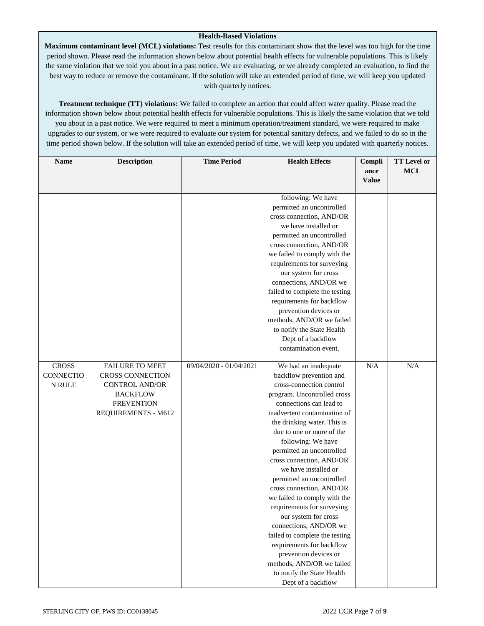### **Health-Based Violations**

**Maximum contaminant level (MCL) violations:** Test results for this contaminant show that the level was too high for the time period shown. Please read the information shown below about potential health effects for vulnerable populations. This is likely the same violation that we told you about in a past notice. We are evaluating, or we already completed an evaluation, to find the best way to reduce or remove the contaminant. If the solution will take an extended period of time, we will keep you updated with quarterly notices.

**Treatment technique (TT) violations:** We failed to complete an action that could affect water quality. Please read the information shown below about potential health effects for vulnerable populations. This is likely the same violation that we told you about in a past notice. We were required to meet a minimum operation/treatment standard, we were required to make upgrades to our system, or we were required to evaluate our system for potential sanitary defects, and we failed to do so in the time period shown below. If the solution will take an extended period of time, we will keep you updated with quarterly notices.

| <b>Name</b>      | <b>Description</b>     | <b>Time Period</b>      | <b>Health Effects</b>                                       | Compli       | <b>TT Level or</b> |
|------------------|------------------------|-------------------------|-------------------------------------------------------------|--------------|--------------------|
|                  |                        |                         |                                                             | ance         | <b>MCL</b>         |
|                  |                        |                         |                                                             | <b>Value</b> |                    |
|                  |                        |                         | following: We have                                          |              |                    |
|                  |                        |                         | permitted an uncontrolled                                   |              |                    |
|                  |                        |                         | cross connection, AND/OR                                    |              |                    |
|                  |                        |                         | we have installed or                                        |              |                    |
|                  |                        |                         | permitted an uncontrolled                                   |              |                    |
|                  |                        |                         | cross connection, AND/OR                                    |              |                    |
|                  |                        |                         | we failed to comply with the                                |              |                    |
|                  |                        |                         | requirements for surveying                                  |              |                    |
|                  |                        |                         | our system for cross                                        |              |                    |
|                  |                        |                         | connections, AND/OR we                                      |              |                    |
|                  |                        |                         | failed to complete the testing                              |              |                    |
|                  |                        |                         | requirements for backflow                                   |              |                    |
|                  |                        |                         | prevention devices or                                       |              |                    |
|                  |                        |                         | methods, AND/OR we failed                                   |              |                    |
|                  |                        |                         | to notify the State Health                                  |              |                    |
|                  |                        |                         | Dept of a backflow                                          |              |                    |
|                  |                        |                         | contamination event.                                        |              |                    |
| <b>CROSS</b>     | <b>FAILURE TO MEET</b> | 09/04/2020 - 01/04/2021 | We had an inadequate                                        | N/A          | N/A                |
| <b>CONNECTIO</b> | CROSS CONNECTION       |                         | backflow prevention and                                     |              |                    |
| N RULE           | <b>CONTROL AND/OR</b>  |                         | cross-connection control                                    |              |                    |
|                  | <b>BACKFLOW</b>        |                         | program. Uncontrolled cross                                 |              |                    |
|                  | <b>PREVENTION</b>      |                         | connections can lead to                                     |              |                    |
|                  | REQUIREMENTS - M612    |                         | inadvertent contamination of                                |              |                    |
|                  |                        |                         | the drinking water. This is                                 |              |                    |
|                  |                        |                         | due to one or more of the                                   |              |                    |
|                  |                        |                         | following: We have                                          |              |                    |
|                  |                        |                         | permitted an uncontrolled                                   |              |                    |
|                  |                        |                         | cross connection, AND/OR                                    |              |                    |
|                  |                        |                         | we have installed or                                        |              |                    |
|                  |                        |                         | permitted an uncontrolled                                   |              |                    |
|                  |                        |                         | cross connection, AND/OR                                    |              |                    |
|                  |                        |                         | we failed to comply with the                                |              |                    |
|                  |                        |                         | requirements for surveying                                  |              |                    |
|                  |                        |                         | our system for cross                                        |              |                    |
|                  |                        |                         | connections, AND/OR we                                      |              |                    |
|                  |                        |                         | failed to complete the testing<br>requirements for backflow |              |                    |
|                  |                        |                         | prevention devices or                                       |              |                    |
|                  |                        |                         | methods, AND/OR we failed                                   |              |                    |
|                  |                        |                         | to notify the State Health                                  |              |                    |
|                  |                        |                         | Dept of a backflow                                          |              |                    |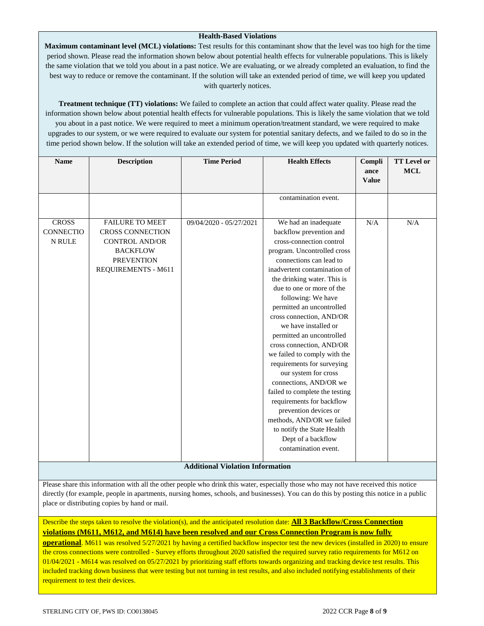### **Health-Based Violations**

**Maximum contaminant level (MCL) violations:** Test results for this contaminant show that the level was too high for the time period shown. Please read the information shown below about potential health effects for vulnerable populations. This is likely the same violation that we told you about in a past notice. We are evaluating, or we already completed an evaluation, to find the best way to reduce or remove the contaminant. If the solution will take an extended period of time, we will keep you updated with quarterly notices.

**Treatment technique (TT) violations:** We failed to complete an action that could affect water quality. Please read the information shown below about potential health effects for vulnerable populations. This is likely the same violation that we told you about in a past notice. We were required to meet a minimum operation/treatment standard, we were required to make upgrades to our system, or we were required to evaluate our system for potential sanitary defects, and we failed to do so in the time period shown below. If the solution will take an extended period of time, we will keep you updated with quarterly notices.

| <b>Name</b>                                       | <b>Description</b>                                                                                                                        | <b>Time Period</b>      | <b>Health Effects</b>                                                                                                                                                                                                                                                                                                                                                                                                                                                                                                                                                                                                                                                                                              | Compli<br>ance<br><b>Value</b> | <b>TT Level or</b><br><b>MCL</b> |  |
|---------------------------------------------------|-------------------------------------------------------------------------------------------------------------------------------------------|-------------------------|--------------------------------------------------------------------------------------------------------------------------------------------------------------------------------------------------------------------------------------------------------------------------------------------------------------------------------------------------------------------------------------------------------------------------------------------------------------------------------------------------------------------------------------------------------------------------------------------------------------------------------------------------------------------------------------------------------------------|--------------------------------|----------------------------------|--|
|                                                   |                                                                                                                                           |                         | contamination event.                                                                                                                                                                                                                                                                                                                                                                                                                                                                                                                                                                                                                                                                                               |                                |                                  |  |
| <b>CROSS</b><br><b>CONNECTIO</b><br><b>N RULE</b> | <b>FAILURE TO MEET</b><br><b>CROSS CONNECTION</b><br><b>CONTROL AND/OR</b><br><b>BACKFLOW</b><br><b>PREVENTION</b><br>REQUIREMENTS - M611 | 09/04/2020 - 05/27/2021 | We had an inadequate<br>backflow prevention and<br>cross-connection control<br>program. Uncontrolled cross<br>connections can lead to<br>inadvertent contamination of<br>the drinking water. This is<br>due to one or more of the<br>following: We have<br>permitted an uncontrolled<br>cross connection, AND/OR<br>we have installed or<br>permitted an uncontrolled<br>cross connection, AND/OR<br>we failed to comply with the<br>requirements for surveying<br>our system for cross<br>connections, AND/OR we<br>failed to complete the testing<br>requirements for backflow<br>prevention devices or<br>methods, AND/OR we failed<br>to notify the State Health<br>Dept of a backflow<br>contamination event. | N/A                            | N/A                              |  |
| <b>Additional Violation Information</b>           |                                                                                                                                           |                         |                                                                                                                                                                                                                                                                                                                                                                                                                                                                                                                                                                                                                                                                                                                    |                                |                                  |  |

Please share this information with all the other people who drink this water, especially those who may not have received this notice directly (for example, people in apartments, nursing homes, schools, and businesses). You can do this by posting this notice in a public place or distributing copies by hand or mail.

Describe the steps taken to resolve the violation(s), and the anticipated resolution date: **All 3 Backflow/Cross Connection violations (M611, M612, and M614) have been resolved and our Cross Connection Program is now fully** 

**operational**. M611 was resolved 5/27/2021 by having a certified backflow inspector test the new devices (installed in 2020) to ensure the cross connections were controlled - Survey efforts throughout 2020 satisfied the required survey ratio requirements for M612 on 01/04/2021 - M614 was resolved on 05/27/2021 by prioritizing staff efforts towards organizing and tracking device test results. This included tracking down business that were testing but not turning in test results, and also included notifying establishments of their requirement to test their devices.